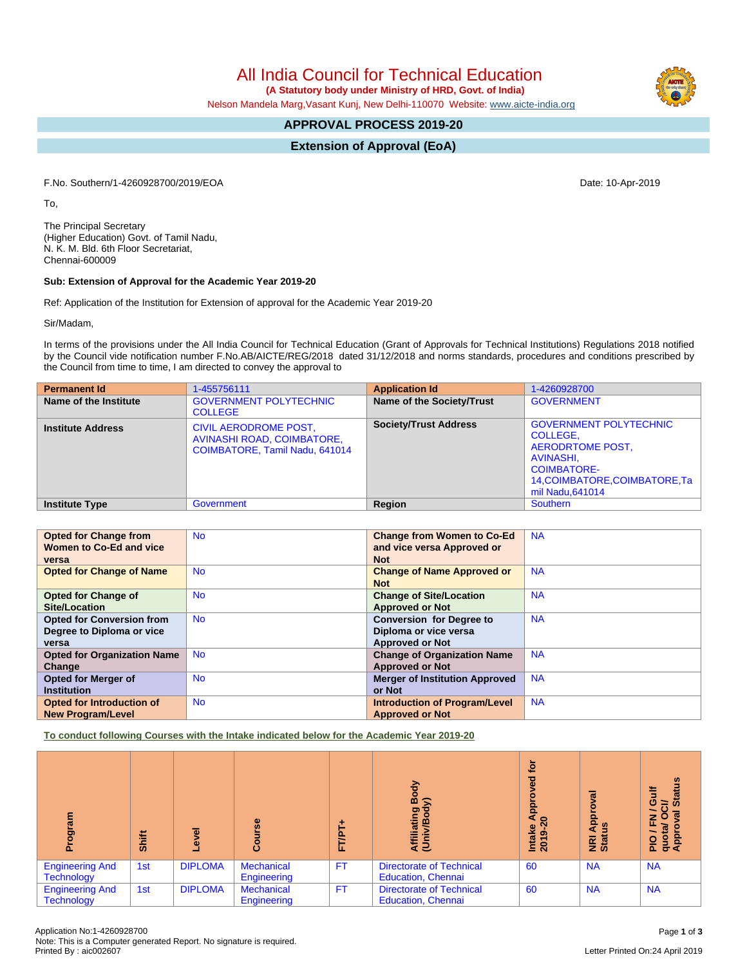All India Council for Technical Education

 **(A Statutory body under Ministry of HRD, Govt. of India)**

Nelson Mandela Marg,Vasant Kunj, New Delhi-110070 Website: [www.aicte-india.org](http://www.aicte-india.org)

# **APPROVAL PROCESS 2019-20**

**Extension of Approval (EoA)**

F.No. Southern/1-4260928700/2019/EOA Date: 10-Apr-2019

To,

The Principal Secretary (Higher Education) Govt. of Tamil Nadu, N. K. M. Bld. 6th Floor Secretariat, Chennai-600009

#### **Sub: Extension of Approval for the Academic Year 2019-20**

Ref: Application of the Institution for Extension of approval for the Academic Year 2019-20

Sir/Madam,

In terms of the provisions under the All India Council for Technical Education (Grant of Approvals for Technical Institutions) Regulations 2018 notified by the Council vide notification number F.No.AB/AICTE/REG/2018 dated 31/12/2018 and norms standards, procedures and conditions prescribed by the Council from time to time, I am directed to convey the approval to

| <b>Permanent Id</b>      | 1-455756111                                                                                  | <b>Application Id</b>        | 1-4260928700                                                                                                                                                  |
|--------------------------|----------------------------------------------------------------------------------------------|------------------------------|---------------------------------------------------------------------------------------------------------------------------------------------------------------|
| Name of the Institute    | <b>GOVERNMENT POLYTECHNIC</b><br><b>COLLEGE</b>                                              | Name of the Society/Trust    | <b>GOVERNMENT</b>                                                                                                                                             |
| <b>Institute Address</b> | <b>CIVIL AERODROME POST.</b><br>AVINASHI ROAD, COIMBATORE,<br>COIMBATORE, Tamil Nadu, 641014 | <b>Society/Trust Address</b> | <b>GOVERNMENT POLYTECHNIC</b><br>COLLEGE.<br><b>AERODRTOME POST,</b><br>AVINASHI,<br><b>COIMBATORE-</b><br>14, COIMBATORE, COIMBATORE, Ta<br>mil Nadu, 641014 |
| <b>Institute Type</b>    | <b>Government</b>                                                                            | Region                       | <b>Southern</b>                                                                                                                                               |

| <b>Opted for Change from</b>       | <b>No</b> | <b>Change from Women to Co-Ed</b>     | <b>NA</b> |
|------------------------------------|-----------|---------------------------------------|-----------|
| Women to Co-Ed and vice            |           | and vice versa Approved or            |           |
| versa                              |           | <b>Not</b>                            |           |
| <b>Opted for Change of Name</b>    | <b>No</b> | <b>Change of Name Approved or</b>     | <b>NA</b> |
|                                    |           | <b>Not</b>                            |           |
| <b>Opted for Change of</b>         | <b>No</b> | <b>Change of Site/Location</b>        | <b>NA</b> |
| <b>Site/Location</b>               |           | <b>Approved or Not</b>                |           |
| <b>Opted for Conversion from</b>   | <b>No</b> | <b>Conversion for Degree to</b>       | <b>NA</b> |
| Degree to Diploma or vice          |           | Diploma or vice versa                 |           |
| versa                              |           | <b>Approved or Not</b>                |           |
| <b>Opted for Organization Name</b> | <b>No</b> | <b>Change of Organization Name</b>    | <b>NA</b> |
| Change                             |           | <b>Approved or Not</b>                |           |
| <b>Opted for Merger of</b>         | <b>No</b> | <b>Merger of Institution Approved</b> | <b>NA</b> |
| <b>Institution</b>                 |           | or Not                                |           |
| Opted for Introduction of          | <b>No</b> | <b>Introduction of Program/Level</b>  | <b>NA</b> |
| <b>New Program/Level</b>           |           | <b>Approved or Not</b>                |           |

**To conduct following Courses with the Intake indicated below for the Academic Year 2019-20**

| ram<br>ā<br>Δ.                              | Shift | g<br>Ö,        | rse<br><b>Cour</b>               | <b>FT/P</b> | Body<br>⋦<br>Affiliating<br>(Univ/Body                       | Ċ٥<br>공<br>윤<br>₹<br>$\circ$<br>Intake<br>2019-20 | ड़<br>ō<br>Appl<br>$\frac{9}{4}$<br><b>Ri</b><br>Stat | <b>Status</b><br>O<br>ট<br>π<br>O<br>z<br>ш.<br>quota/<br>Approv<br>$\frac{1}{2}$ |
|---------------------------------------------|-------|----------------|----------------------------------|-------------|--------------------------------------------------------------|---------------------------------------------------|-------------------------------------------------------|-----------------------------------------------------------------------------------|
| <b>Engineering And</b><br><b>Technology</b> | 1st   | <b>DIPLOMA</b> | <b>Mechanical</b><br>Engineering | <b>FT</b>   | <b>Directorate of Technical</b><br><b>Education, Chennai</b> | 60                                                | <b>NA</b>                                             | <b>NA</b>                                                                         |
| <b>Engineering And</b><br><b>Technology</b> | 1st   | <b>DIPLOMA</b> | <b>Mechanical</b><br>Engineering | FT.         | <b>Directorate of Technical</b><br><b>Education, Chennai</b> | 60                                                | <b>NA</b>                                             | <b>NA</b>                                                                         |

# Letter Printed On:24 April 2019

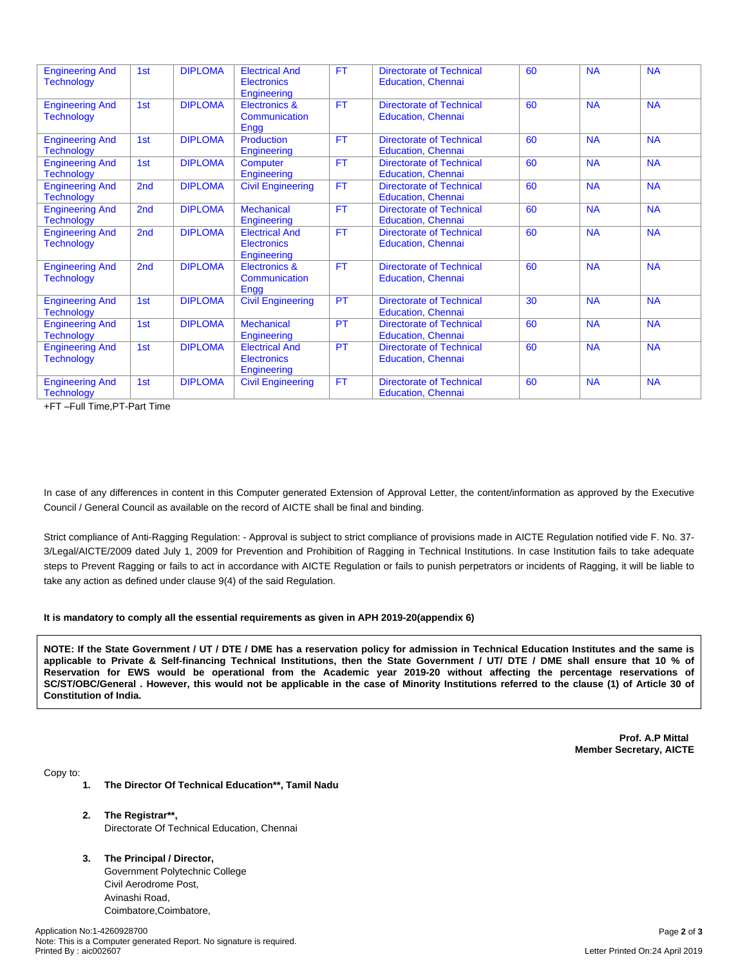| <b>Engineering And</b><br><b>Technology</b> | 1st             | <b>DIPLOMA</b> | <b>Electrical And</b><br><b>Electronics</b><br>Engineering | <b>FT</b> | <b>Directorate of Technical</b><br><b>Education, Chennai</b> | 60 | <b>NA</b> | <b>NA</b> |
|---------------------------------------------|-----------------|----------------|------------------------------------------------------------|-----------|--------------------------------------------------------------|----|-----------|-----------|
| <b>Engineering And</b><br><b>Technology</b> | 1st             | <b>DIPLOMA</b> | Electronics &<br>Communication<br>Engg                     | <b>FT</b> | <b>Directorate of Technical</b><br><b>Education, Chennai</b> | 60 | <b>NA</b> | <b>NA</b> |
| <b>Engineering And</b><br><b>Technology</b> | 1st             | <b>DIPLOMA</b> | <b>Production</b><br>Engineering                           | <b>FT</b> | <b>Directorate of Technical</b><br><b>Education, Chennai</b> | 60 | <b>NA</b> | <b>NA</b> |
| <b>Engineering And</b><br><b>Technology</b> | 1st             | <b>DIPLOMA</b> | Computer<br>Engineering                                    | <b>FT</b> | <b>Directorate of Technical</b><br><b>Education, Chennai</b> | 60 | <b>NA</b> | <b>NA</b> |
| <b>Engineering And</b><br><b>Technology</b> | 2 <sub>nd</sub> | <b>DIPLOMA</b> | <b>Civil Engineering</b>                                   | <b>FT</b> | <b>Directorate of Technical</b><br><b>Education, Chennai</b> | 60 | <b>NA</b> | <b>NA</b> |
| <b>Engineering And</b><br><b>Technology</b> | 2 <sub>nd</sub> | <b>DIPLOMA</b> | <b>Mechanical</b><br>Engineering                           | <b>FT</b> | <b>Directorate of Technical</b><br><b>Education, Chennai</b> | 60 | <b>NA</b> | <b>NA</b> |
| <b>Engineering And</b><br><b>Technology</b> | 2 <sub>nd</sub> | <b>DIPLOMA</b> | <b>Electrical And</b><br>Electronics<br>Engineering        | <b>FT</b> | <b>Directorate of Technical</b><br><b>Education, Chennai</b> | 60 | <b>NA</b> | <b>NA</b> |
| <b>Engineering And</b><br><b>Technology</b> | 2 <sub>nd</sub> | <b>DIPLOMA</b> | Electronics &<br>Communication<br>Engg                     | <b>FT</b> | <b>Directorate of Technical</b><br><b>Education, Chennai</b> | 60 | <b>NA</b> | <b>NA</b> |
| <b>Engineering And</b><br><b>Technology</b> | 1st             | <b>DIPLOMA</b> | <b>Civil Engineering</b>                                   | PT        | <b>Directorate of Technical</b><br><b>Education, Chennai</b> | 30 | <b>NA</b> | <b>NA</b> |
| <b>Engineering And</b><br><b>Technology</b> | 1st             | <b>DIPLOMA</b> | <b>Mechanical</b><br>Engineering                           | PT        | <b>Directorate of Technical</b><br><b>Education, Chennai</b> | 60 | <b>NA</b> | <b>NA</b> |
| <b>Engineering And</b><br><b>Technology</b> | 1st             | <b>DIPLOMA</b> | <b>Electrical And</b><br><b>Electronics</b><br>Engineering | <b>PT</b> | <b>Directorate of Technical</b><br><b>Education, Chennai</b> | 60 | <b>NA</b> | <b>NA</b> |
| <b>Engineering And</b><br><b>Technology</b> | 1st             | <b>DIPLOMA</b> | <b>Civil Engineering</b>                                   | <b>FT</b> | <b>Directorate of Technical</b><br><b>Education, Chennai</b> | 60 | <b>NA</b> | <b>NA</b> |

+FT –Full Time,PT-Part Time

In case of any differences in content in this Computer generated Extension of Approval Letter, the content/information as approved by the Executive Council / General Council as available on the record of AICTE shall be final and binding.

Strict compliance of Anti-Ragging Regulation: - Approval is subject to strict compliance of provisions made in AICTE Regulation notified vide F. No. 37- 3/Legal/AICTE/2009 dated July 1, 2009 for Prevention and Prohibition of Ragging in Technical Institutions. In case Institution fails to take adequate steps to Prevent Ragging or fails to act in accordance with AICTE Regulation or fails to punish perpetrators or incidents of Ragging, it will be liable to take any action as defined under clause 9(4) of the said Regulation.

#### **It is mandatory to comply all the essential requirements as given in APH 2019-20(appendix 6)**

NOTE: If the State Government / UT / DTE / DME has a reservation policy for admission in Technical Education Institutes and the same is applicable to Private & Self-financing Technical Institutions, then the State Government / UT/ DTE / DME shall ensure that 10 % of Reservation for EWS would be operational from the Academic year 2019-20 without affecting the percentage reservations of SC/ST/OBC/General . However, this would not be applicable in the case of Minority Institutions referred to the clause (1) of Article 30 of **Constitution of India.**

> **Prof. A.P Mittal Member Secretary, AICTE**

Copy to:

- **1. The Director Of Technical Education\*\*, Tamil Nadu**
- **2. The Registrar\*\*,** Directorate Of Technical Education, Chennai
- **3. The Principal / Director,**

Government Polytechnic College Civil Aerodrome Post, Avinashi Road, Coimbatore,Coimbatore,